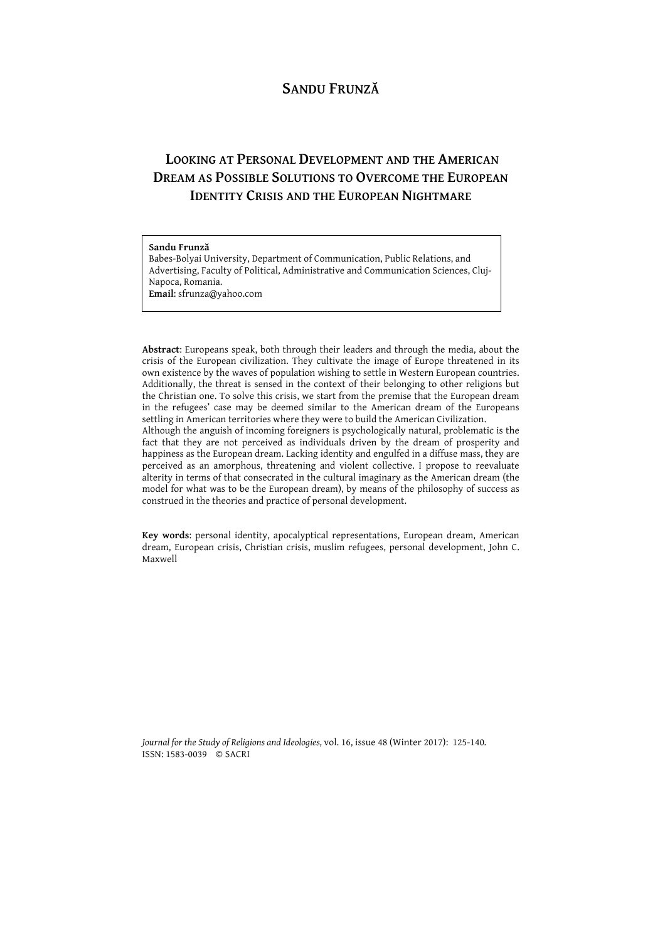# **SANDU FRUNZĂ**

# **LOOKING AT PERSONAL DEVELOPMENT AND THE AMERICAN DREAM AS POSSIBLE SOLUTIONS TO OVERCOME THE EUROPEAN IDENTITY CRISIS AND THE EUROPEAN NIGHTMARE**

### **Sandu Frunză**

Babes-Bolyai University, Department of Communication, Public Relations, and Advertising, Faculty of Political, Administrative and Communication Sciences, Cluj-Napoca, Romania. **Email**: sfrunza@yahoo.com

**Abstract**: Europeans speak, both through their leaders and through the media, about the crisis of the European civilization. They cultivate the image of Europe threatened in its own existence by the waves of population wishing to settle in Western European countries. Additionally, the threat is sensed in the context of their belonging to other religions but the Christian one. To solve this crisis, we start from the premise that the European dream in the refugees' case may be deemed similar to the American dream of the Europeans settling in American territories where they were to build the American Civilization.

Although the anguish of incoming foreigners is psychologically natural, problematic is the fact that they are not perceived as individuals driven by the dream of prosperity and happiness as the European dream. Lacking identity and engulfed in a diffuse mass, they are perceived as an amorphous, threatening and violent collective. I propose to reevaluate alterity in terms of that consecrated in the cultural imaginary as the American dream (the model for what was to be the European dream), by means of the philosophy of success as construed in the theories and practice of personal development.

**Key words**: personal identity, apocalyptical representations, European dream, American dream, European crisis, Christian crisis, muslim refugees, personal development, John C. Maxwell

*Journal for the Study of Religions and Ideologies,* vol. 16, issue 48 (Winter 2017): 125-140*.* ISSN: 1583-0039 © SACRI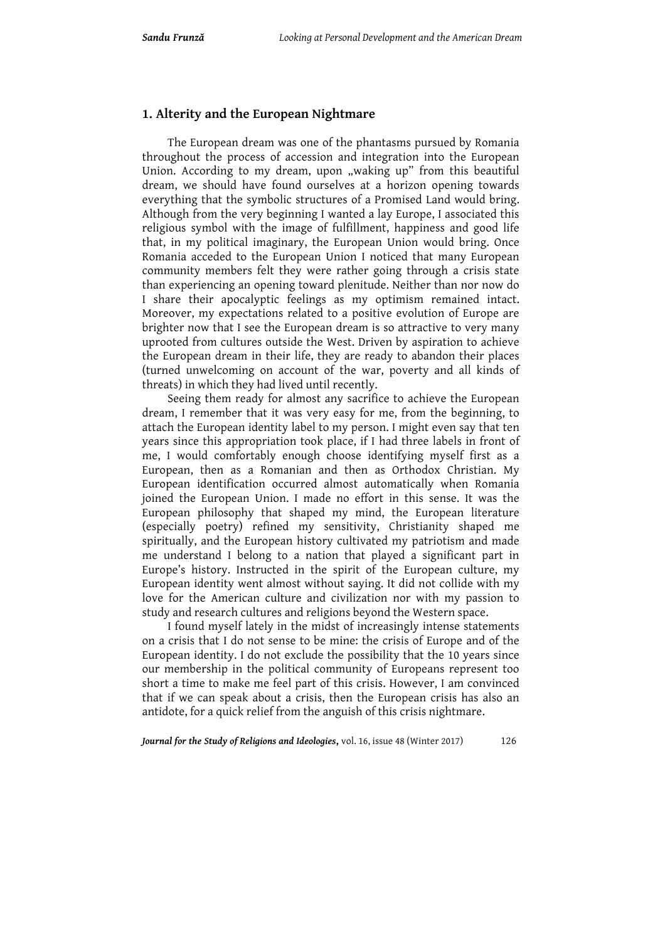### **1. Alterity and the European Nightmare**

The European dream was one of the phantasms pursued by Romania throughout the process of accession and integration into the European Union. According to my dream, upon "waking up" from this beautiful dream, we should have found ourselves at a horizon opening towards everything that the symbolic structures of a Promised Land would bring. Although from the very beginning I wanted a lay Europe, I associated this religious symbol with the image of fulfillment, happiness and good life that, in my political imaginary, the European Union would bring. Once Romania acceded to the European Union I noticed that many European community members felt they were rather going through a crisis state than experiencing an opening toward plenitude. Neither than nor now do I share their apocalyptic feelings as my optimism remained intact. Moreover, my expectations related to a positive evolution of Europe are brighter now that I see the European dream is so attractive to very many uprooted from cultures outside the West. Driven by aspiration to achieve the European dream in their life, they are ready to abandon their places (turned unwelcoming on account of the war, poverty and all kinds of threats) in which they had lived until recently.

Seeing them ready for almost any sacrifice to achieve the European dream, I remember that it was very easy for me, from the beginning, to attach the European identity label to my person. I might even say that ten years since this appropriation took place, if I had three labels in front of me, I would comfortably enough choose identifying myself first as a European, then as a Romanian and then as Orthodox Christian. My European identification occurred almost automatically when Romania joined the European Union. I made no effort in this sense. It was the European philosophy that shaped my mind, the European literature (especially poetry) refined my sensitivity, Christianity shaped me spiritually, and the European history cultivated my patriotism and made me understand I belong to a nation that played a significant part in Europe's history. Instructed in the spirit of the European culture, my European identity went almost without saying. It did not collide with my love for the American culture and civilization nor with my passion to study and research cultures and religions beyond the Western space.

I found myself lately in the midst of increasingly intense statements on a crisis that I do not sense to be mine: the crisis of Europe and of the European identity. I do not exclude the possibility that the 10 years since our membership in the political community of Europeans represent too short a time to make me feel part of this crisis. However, I am convinced that if we can speak about a crisis, then the European crisis has also an antidote, for a quick relief from the anguish of this crisis nightmare.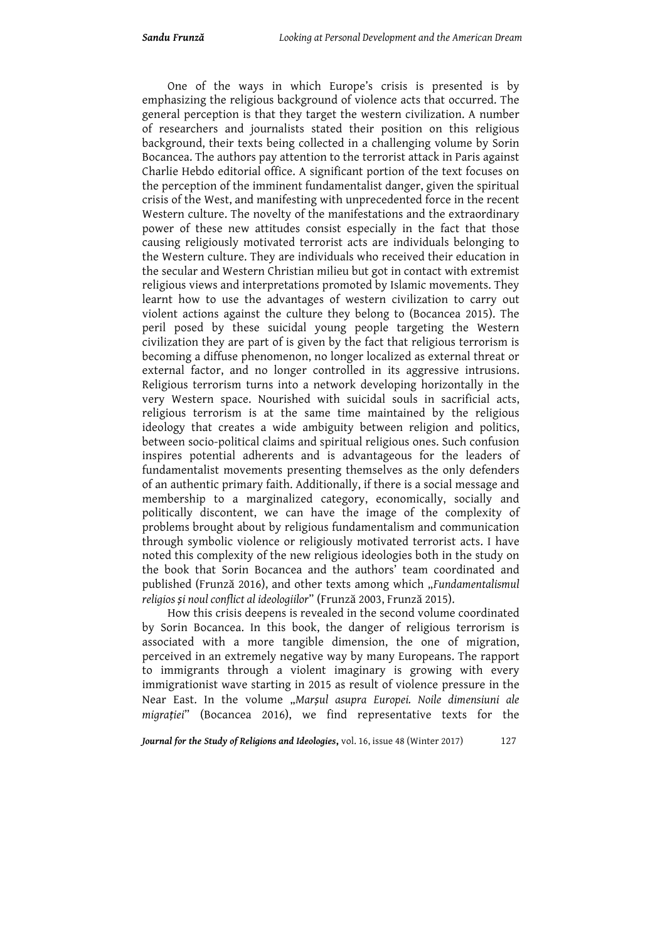One of the ways in which Europe's crisis is presented is by emphasizing the religious background of violence acts that occurred. The general perception is that they target the western civilization. A number of researchers and journalists stated their position on this religious background, their texts being collected in a challenging volume by Sorin Bocancea. The authors pay attention to the terrorist attack in Paris against Charlie Hebdo editorial office. A significant portion of the text focuses on the perception of the imminent fundamentalist danger, given the spiritual crisis of the West, and manifesting with unprecedented force in the recent Western culture. The novelty of the manifestations and the extraordinary power of these new attitudes consist especially in the fact that those causing religiously motivated terrorist acts are individuals belonging to the Western culture. They are individuals who received their education in the secular and Western Christian milieu but got in contact with extremist religious views and interpretations promoted by Islamic movements. They learnt how to use the advantages of western civilization to carry out violent actions against the culture they belong to (Bocancea 2015). The peril posed by these suicidal young people targeting the Western civilization they are part of is given by the fact that religious terrorism is becoming a diffuse phenomenon, no longer localized as external threat or external factor, and no longer controlled in its aggressive intrusions. Religious terrorism turns into a network developing horizontally in the very Western space. Nourished with suicidal souls in sacrificial acts, religious terrorism is at the same time maintained by the religious ideology that creates a wide ambiguity between religion and politics, between socio-political claims and spiritual religious ones. Such confusion inspires potential adherents and is advantageous for the leaders of fundamentalist movements presenting themselves as the only defenders of an authentic primary faith. Additionally, if there is a social message and membership to a marginalized category, economically, socially and politically discontent, we can have the image of the complexity of problems brought about by religious fundamentalism and communication through symbolic violence or religiously motivated terrorist acts. I have noted this complexity of the new religious ideologies both in the study on the book that Sorin Bocancea and the authors' team coordinated and published (Frunză 2016), and other texts among which "*Fundamentalismul religios și noul conflict al ideologiilor*" (Frunză 2003, Frunză 2015).

How this crisis deepens is revealed in the second volume coordinated by Sorin Bocancea. In this book, the danger of religious terrorism is associated with a more tangible dimension, the one of migration, perceived in an extremely negative way by many Europeans. The rapport to immigrants through a violent imaginary is growing with every immigrationist wave starting in 2015 as result of violence pressure in the Near East. In the volume "*Marșul asupra Europei. Noile dimensiuni ale migrației*" (Bocancea 2016), we find representative texts for the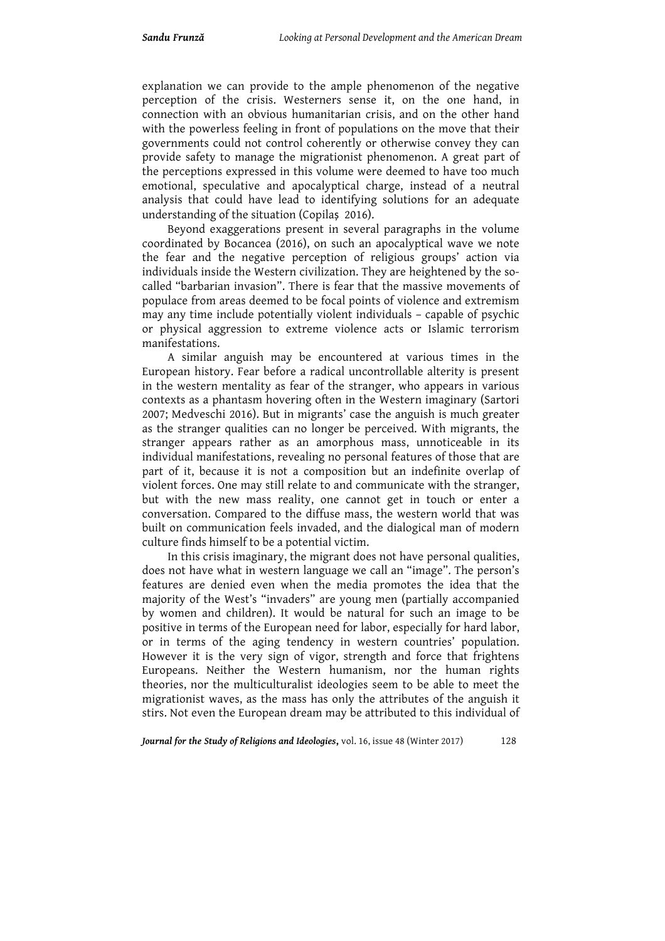explanation we can provide to the ample phenomenon of the negative perception of the crisis. Westerners sense it, on the one hand, in connection with an obvious humanitarian crisis, and on the other hand with the powerless feeling in front of populations on the move that their governments could not control coherently or otherwise convey they can provide safety to manage the migrationist phenomenon. A great part of the perceptions expressed in this volume were deemed to have too much emotional, speculative and apocalyptical charge, instead of a neutral analysis that could have lead to identifying solutions for an adequate understanding of the situation (Copilaș 2016).

Beyond exaggerations present in several paragraphs in the volume coordinated by Bocancea (2016), on such an apocalyptical wave we note the fear and the negative perception of religious groups' action via individuals inside the Western civilization. They are heightened by the socalled "barbarian invasion". There is fear that the massive movements of populace from areas deemed to be focal points of violence and extremism may any time include potentially violent individuals – capable of psychic or physical aggression to extreme violence acts or Islamic terrorism manifestations.

A similar anguish may be encountered at various times in the European history. Fear before a radical uncontrollable alterity is present in the western mentality as fear of the stranger, who appears in various contexts as a phantasm hovering often in the Western imaginary (Sartori 2007; Medveschi 2016). But in migrants' case the anguish is much greater as the stranger qualities can no longer be perceived. With migrants, the stranger appears rather as an amorphous mass, unnoticeable in its individual manifestations, revealing no personal features of those that are part of it, because it is not a composition but an indefinite overlap of violent forces. One may still relate to and communicate with the stranger, but with the new mass reality, one cannot get in touch or enter a conversation. Compared to the diffuse mass, the western world that was built on communication feels invaded, and the dialogical man of modern culture finds himself to be a potential victim.

In this crisis imaginary, the migrant does not have personal qualities, does not have what in western language we call an "image". The person's features are denied even when the media promotes the idea that the majority of the West's "invaders" are young men (partially accompanied by women and children). It would be natural for such an image to be positive in terms of the European need for labor, especially for hard labor, or in terms of the aging tendency in western countries' population. However it is the very sign of vigor, strength and force that frightens Europeans. Neither the Western humanism, nor the human rights theories, nor the multiculturalist ideologies seem to be able to meet the migrationist waves, as the mass has only the attributes of the anguish it stirs. Not even the European dream may be attributed to this individual of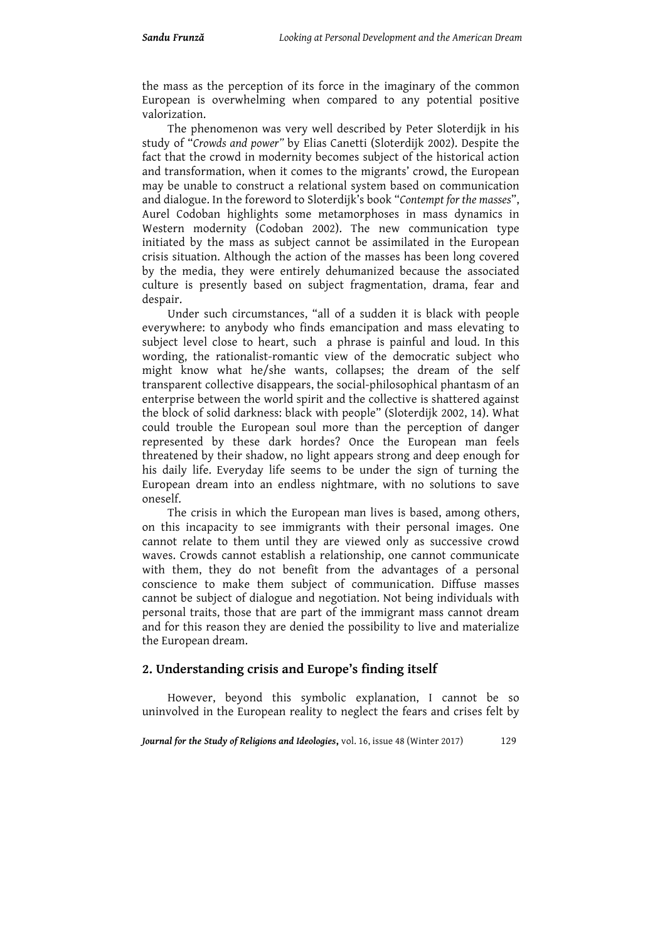the mass as the perception of its force in the imaginary of the common European is overwhelming when compared to any potential positive valorization.

The phenomenon was very well described by Peter Sloterdijk in his study of "*Crowds and power"* by Elias Canetti (Sloterdijk 2002). Despite the fact that the crowd in modernity becomes subject of the historical action and transformation, when it comes to the migrants' crowd, the European may be unable to construct a relational system based on communication and dialogue. In the foreword to Sloterdijk's book "*Contempt for the masses*", Aurel Codoban highlights some metamorphoses in mass dynamics in Western modernity (Codoban 2002). The new communication type initiated by the mass as subject cannot be assimilated in the European crisis situation. Although the action of the masses has been long covered by the media, they were entirely dehumanized because the associated culture is presently based on subject fragmentation, drama, fear and despair.

Under such circumstances, "all of a sudden it is black with people everywhere: to anybody who finds emancipation and mass elevating to subject level close to heart, such a phrase is painful and loud. In this wording, the rationalist-romantic view of the democratic subject who might know what he/she wants, collapses; the dream of the self transparent collective disappears, the social-philosophical phantasm of an enterprise between the world spirit and the collective is shattered against the block of solid darkness: black with people" (Sloterdijk 2002, 14). What could trouble the European soul more than the perception of danger represented by these dark hordes? Once the European man feels threatened by their shadow, no light appears strong and deep enough for his daily life. Everyday life seems to be under the sign of turning the European dream into an endless nightmare, with no solutions to save oneself.

The crisis in which the European man lives is based, among others, on this incapacity to see immigrants with their personal images. One cannot relate to them until they are viewed only as successive crowd waves. Crowds cannot establish a relationship, one cannot communicate with them, they do not benefit from the advantages of a personal conscience to make them subject of communication. Diffuse masses cannot be subject of dialogue and negotiation. Not being individuals with personal traits, those that are part of the immigrant mass cannot dream and for this reason they are denied the possibility to live and materialize the European dream.

### **2. Understanding crisis and Europe's finding itself**

However, beyond this symbolic explanation, I cannot be so uninvolved in the European reality to neglect the fears and crises felt by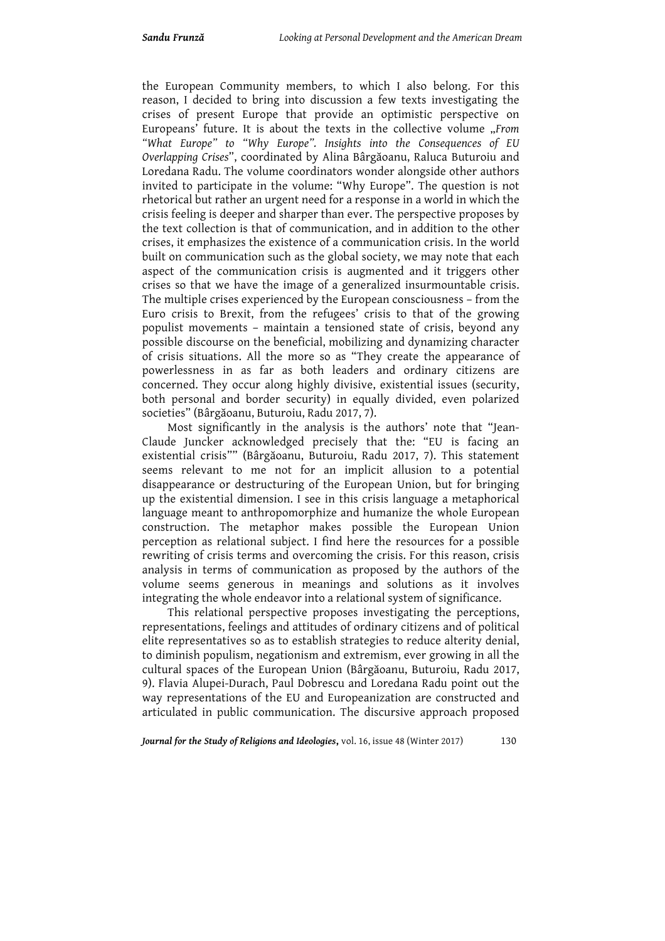the European Community members, to which I also belong. For this reason, I decided to bring into discussion a few texts investigating the crises of present Europe that provide an optimistic perspective on Europeans' future. It is about the texts in the collective volume "*From "What Europe" to "Why Europe". Insights into the Consequences of EU Overlapping Crises*", coordinated by Alina Bârgăoanu, Raluca Buturoiu and Loredana Radu. The volume coordinators wonder alongside other authors invited to participate in the volume: "Why Europe". The question is not rhetorical but rather an urgent need for a response in a world in which the crisis feeling is deeper and sharper than ever. The perspective proposes by the text collection is that of communication, and in addition to the other crises, it emphasizes the existence of a communication crisis. In the world built on communication such as the global society, we may note that each aspect of the communication crisis is augmented and it triggers other crises so that we have the image of a generalized insurmountable crisis. The multiple crises experienced by the European consciousness – from the Euro crisis to Brexit, from the refugees' crisis to that of the growing populist movements – maintain a tensioned state of crisis, beyond any possible discourse on the beneficial, mobilizing and dynamizing character of crisis situations. All the more so as "They create the appearance of powerlessness in as far as both leaders and ordinary citizens are concerned. They occur along highly divisive, existential issues (security, both personal and border security) in equally divided, even polarized societies" (Bârgăoanu, Buturoiu, Radu 2017, 7).

Most significantly in the analysis is the authors' note that "Jean-Claude Juncker acknowledged precisely that the: "EU is facing an existential crisis"" (Bârgăoanu, Buturoiu, Radu 2017, 7). This statement seems relevant to me not for an implicit allusion to a potential disappearance or destructuring of the European Union, but for bringing up the existential dimension. I see in this crisis language a metaphorical language meant to anthropomorphize and humanize the whole European construction. The metaphor makes possible the European Union perception as relational subject. I find here the resources for a possible rewriting of crisis terms and overcoming the crisis. For this reason, crisis analysis in terms of communication as proposed by the authors of the volume seems generous in meanings and solutions as it involves integrating the whole endeavor into a relational system of significance.

This relational perspective proposes investigating the perceptions, representations, feelings and attitudes of ordinary citizens and of political elite representatives so as to establish strategies to reduce alterity denial, to diminish populism, negationism and extremism, ever growing in all the cultural spaces of the European Union (Bârgăoanu, Buturoiu, Radu 2017, 9). Flavia Alupei-Durach, Paul Dobrescu and Loredana Radu point out the way representations of the EU and Europeanization are constructed and articulated in public communication. The discursive approach proposed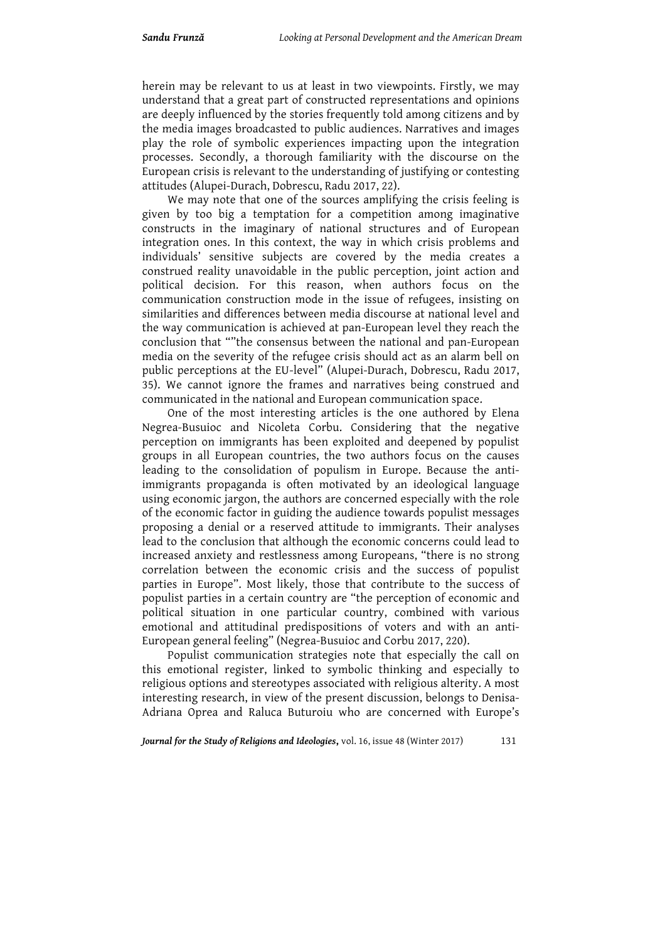herein may be relevant to us at least in two viewpoints. Firstly, we may understand that a great part of constructed representations and opinions are deeply influenced by the stories frequently told among citizens and by the media images broadcasted to public audiences. Narratives and images play the role of symbolic experiences impacting upon the integration processes. Secondly, a thorough familiarity with the discourse on the European crisis is relevant to the understanding of justifying or contesting attitudes (Alupei-Durach, Dobrescu, Radu 2017, 22).

We may note that one of the sources amplifying the crisis feeling is given by too big a temptation for a competition among imaginative constructs in the imaginary of national structures and of European integration ones. In this context, the way in which crisis problems and individuals' sensitive subjects are covered by the media creates a construed reality unavoidable in the public perception, joint action and political decision. For this reason, when authors focus on the communication construction mode in the issue of refugees, insisting on similarities and differences between media discourse at national level and the way communication is achieved at pan-European level they reach the conclusion that ""the consensus between the national and pan-European media on the severity of the refugee crisis should act as an alarm bell on public perceptions at the EU-level" (Alupei-Durach, Dobrescu, Radu 2017, 35). We cannot ignore the frames and narratives being construed and communicated in the national and European communication space.

One of the most interesting articles is the one authored by Elena Negrea-Busuioc and Nicoleta Corbu. Considering that the negative perception on immigrants has been exploited and deepened by populist groups in all European countries, the two authors focus on the causes leading to the consolidation of populism in Europe. Because the antiimmigrants propaganda is often motivated by an ideological language using economic jargon, the authors are concerned especially with the role of the economic factor in guiding the audience towards populist messages proposing a denial or a reserved attitude to immigrants. Their analyses lead to the conclusion that although the economic concerns could lead to increased anxiety and restlessness among Europeans, "there is no strong correlation between the economic crisis and the success of populist parties in Europe". Most likely, those that contribute to the success of populist parties in a certain country are "the perception of economic and political situation in one particular country, combined with various emotional and attitudinal predispositions of voters and with an anti-European general feeling" (Negrea-Busuioc and Corbu 2017, 220).

Populist communication strategies note that especially the call on this emotional register, linked to symbolic thinking and especially to religious options and stereotypes associated with religious alterity. A most interesting research, in view of the present discussion, belongs to Denisa-Adriana Oprea and Raluca Buturoiu who are concerned with Europe's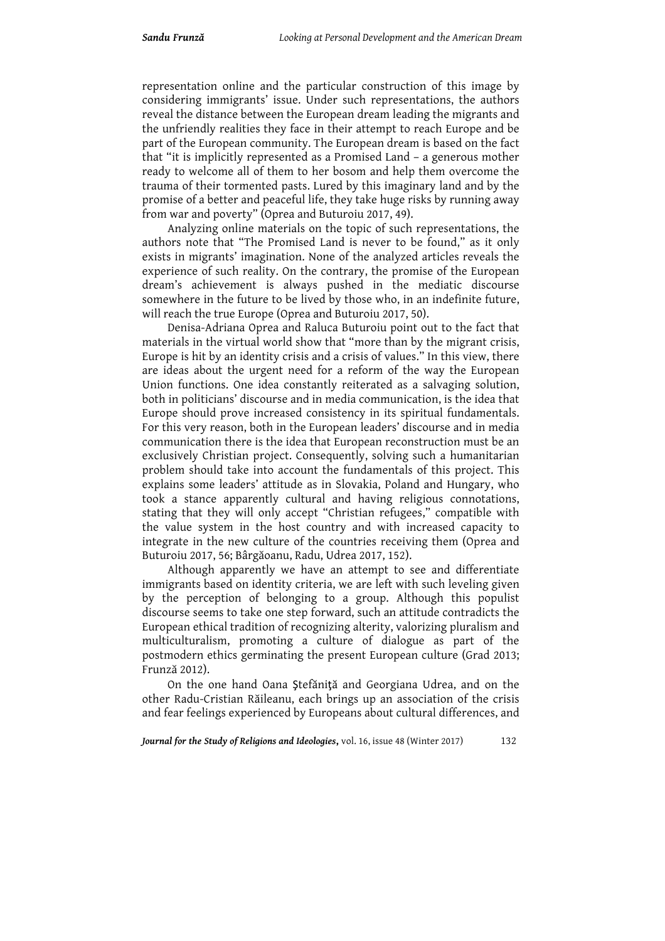representation online and the particular construction of this image by considering immigrants' issue. Under such representations, the authors reveal the distance between the European dream leading the migrants and the unfriendly realities they face in their attempt to reach Europe and be part of the European community. The European dream is based on the fact that "it is implicitly represented as a Promised Land – a generous mother ready to welcome all of them to her bosom and help them overcome the trauma of their tormented pasts. Lured by this imaginary land and by the promise of a better and peaceful life, they take huge risks by running away from war and poverty" (Oprea and Buturoiu 2017, 49).

Analyzing online materials on the topic of such representations, the authors note that "The Promised Land is never to be found," as it only exists in migrants' imagination. None of the analyzed articles reveals the experience of such reality. On the contrary, the promise of the European dream's achievement is always pushed in the mediatic discourse somewhere in the future to be lived by those who, in an indefinite future, will reach the true Europe (Oprea and Buturoiu 2017, 50).

Denisa-Adriana Oprea and Raluca Buturoiu point out to the fact that materials in the virtual world show that "more than by the migrant crisis, Europe is hit by an identity crisis and a crisis of values." In this view, there are ideas about the urgent need for a reform of the way the European Union functions. One idea constantly reiterated as a salvaging solution, both in politicians' discourse and in media communication, is the idea that Europe should prove increased consistency in its spiritual fundamentals. For this very reason, both in the European leaders' discourse and in media communication there is the idea that European reconstruction must be an exclusively Christian project. Consequently, solving such a humanitarian problem should take into account the fundamentals of this project. This explains some leaders' attitude as in Slovakia, Poland and Hungary, who took a stance apparently cultural and having religious connotations, stating that they will only accept "Christian refugees," compatible with the value system in the host country and with increased capacity to integrate in the new culture of the countries receiving them (Oprea and Buturoiu 2017, 56; Bârgăoanu, Radu, Udrea 2017, 152).

Although apparently we have an attempt to see and differentiate immigrants based on identity criteria, we are left with such leveling given by the perception of belonging to a group. Although this populist discourse seems to take one step forward, such an attitude contradicts the European ethical tradition of recognizing alterity, valorizing pluralism and multiculturalism, promoting a culture of dialogue as part of the postmodern ethics germinating the present European culture (Grad 2013; Frunză 2012).

On the one hand Oana Ştefăniţă and Georgiana Udrea, and on the other Radu-Cristian Răileanu, each brings up an association of the crisis and fear feelings experienced by Europeans about cultural differences, and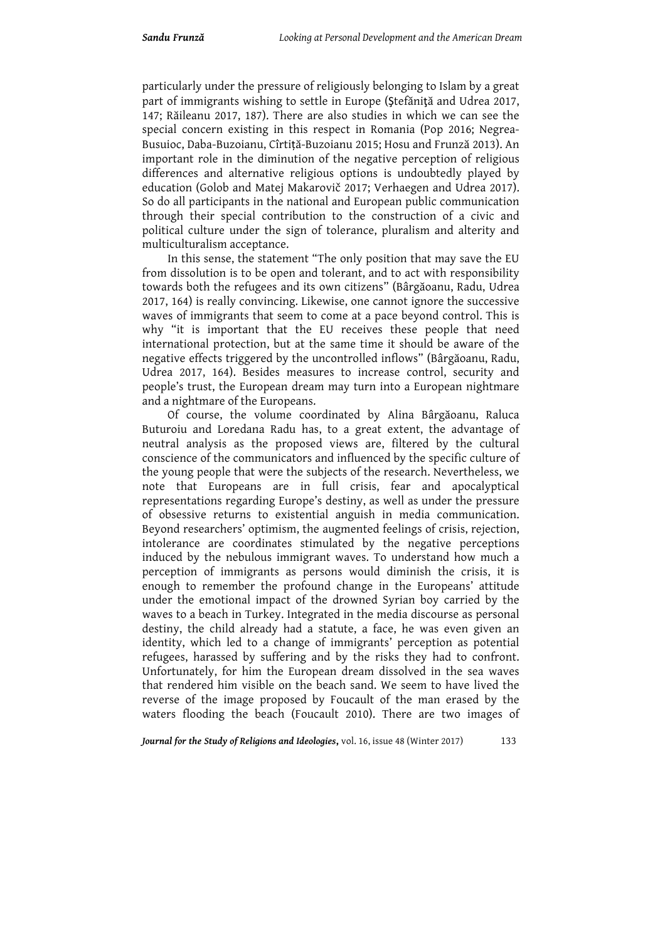particularly under the pressure of religiously belonging to Islam by a great part of immigrants wishing to settle in Europe (Ştefăniţă and Udrea 2017, 147; Răileanu 2017, 187). There are also studies in which we can see the special concern existing in this respect in Romania (Pop 2016; Negrea-Busuioc, Daba-Buzoianu, Cîrtiță-Buzoianu 2015; Hosu and Frunză 2013). An important role in the diminution of the negative perception of religious differences and alternative religious options is undoubtedly played by education (Golob and Matej Makarovič 2017; Verhaegen and Udrea 2017). So do all participants in the national and European public communication through their special contribution to the construction of a civic and political culture under the sign of tolerance, pluralism and alterity and multiculturalism acceptance.

In this sense, the statement "The only position that may save the EU from dissolution is to be open and tolerant, and to act with responsibility towards both the refugees and its own citizens" (Bârgăoanu, Radu, Udrea 2017, 164) is really convincing. Likewise, one cannot ignore the successive waves of immigrants that seem to come at a pace beyond control. This is why "it is important that the EU receives these people that need international protection, but at the same time it should be aware of the negative effects triggered by the uncontrolled inflows" (Bârgăoanu, Radu, Udrea 2017, 164). Besides measures to increase control, security and people's trust, the European dream may turn into a European nightmare and a nightmare of the Europeans.

Of course, the volume coordinated by Alina Bârgăoanu, Raluca Buturoiu and Loredana Radu has, to a great extent, the advantage of neutral analysis as the proposed views are, filtered by the cultural conscience of the communicators and influenced by the specific culture of the young people that were the subjects of the research. Nevertheless, we note that Europeans are in full crisis, fear and apocalyptical representations regarding Europe's destiny, as well as under the pressure of obsessive returns to existential anguish in media communication. Beyond researchers' optimism, the augmented feelings of crisis, rejection, intolerance are coordinates stimulated by the negative perceptions induced by the nebulous immigrant waves. To understand how much a perception of immigrants as persons would diminish the crisis, it is enough to remember the profound change in the Europeans' attitude under the emotional impact of the drowned Syrian boy carried by the waves to a beach in Turkey. Integrated in the media discourse as personal destiny, the child already had a statute, a face, he was even given an identity, which led to a change of immigrants' perception as potential refugees, harassed by suffering and by the risks they had to confront. Unfortunately, for him the European dream dissolved in the sea waves that rendered him visible on the beach sand. We seem to have lived the reverse of the image proposed by Foucault of the man erased by the waters flooding the beach (Foucault 2010). There are two images of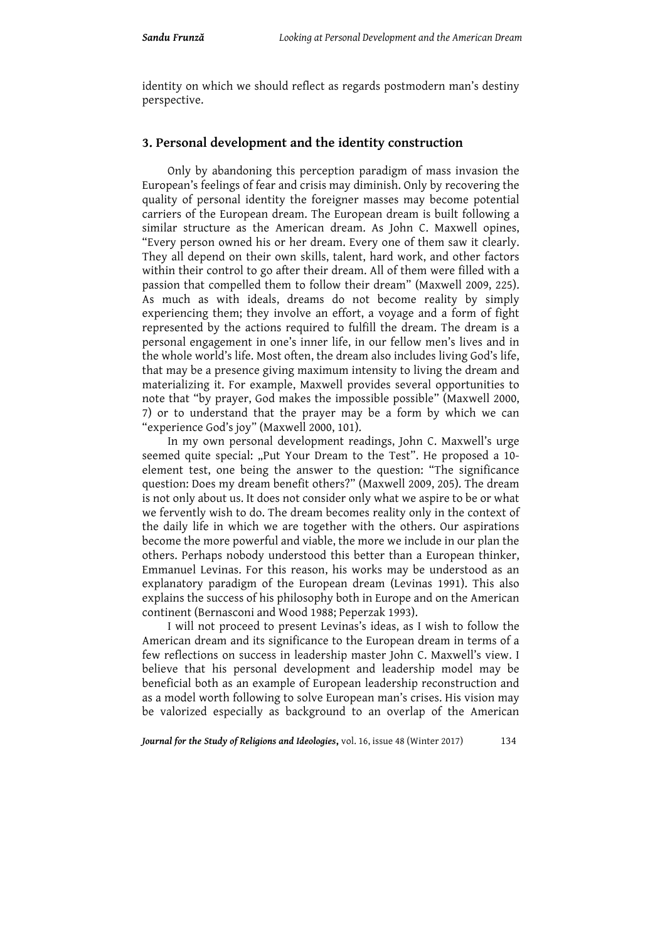identity on which we should reflect as regards postmodern man's destiny perspective.

## **3. Personal development and the identity construction**

Only by abandoning this perception paradigm of mass invasion the European's feelings of fear and crisis may diminish. Only by recovering the quality of personal identity the foreigner masses may become potential carriers of the European dream. The European dream is built following a similar structure as the American dream. As John C. Maxwell opines, "Every person owned his or her dream. Every one of them saw it clearly. They all depend on their own skills, talent, hard work, and other factors within their control to go after their dream. All of them were filled with a passion that compelled them to follow their dream" (Maxwell 2009, 225). As much as with ideals, dreams do not become reality by simply experiencing them; they involve an effort, a voyage and a form of fight represented by the actions required to fulfill the dream. The dream is a personal engagement in one's inner life, in our fellow men's lives and in the whole world's life. Most often, the dream also includes living God's life, that may be a presence giving maximum intensity to living the dream and materializing it. For example, Maxwell provides several opportunities to note that "by prayer, God makes the impossible possible" (Maxwell 2000, 7) or to understand that the prayer may be a form by which we can "experience God's joy" (Maxwell 2000, 101).

In my own personal development readings, John C. Maxwell's urge seemed quite special: "Put Your Dream to the Test". He proposed a 10element test, one being the answer to the question: "The significance question: Does my dream benefit others?" (Maxwell 2009, 205). The dream is not only about us. It does not consider only what we aspire to be or what we fervently wish to do. The dream becomes reality only in the context of the daily life in which we are together with the others. Our aspirations become the more powerful and viable, the more we include in our plan the others. Perhaps nobody understood this better than a European thinker, Emmanuel Levinas. For this reason, his works may be understood as an explanatory paradigm of the European dream (Levinas 1991). This also explains the success of his philosophy both in Europe and on the American continent (Bernasconi and Wood 1988; Peperzak 1993).

I will not proceed to present Levinas's ideas, as I wish to follow the American dream and its significance to the European dream in terms of a few reflections on success in leadership master John C. Maxwell's view. I believe that his personal development and leadership model may be beneficial both as an example of European leadership reconstruction and as a model worth following to solve European man's crises. His vision may be valorized especially as background to an overlap of the American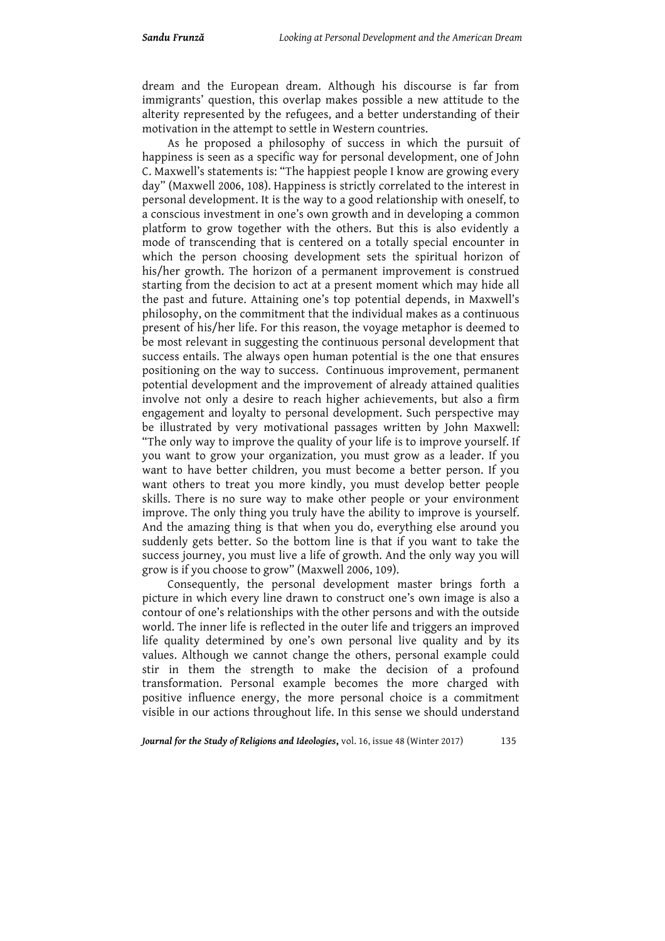dream and the European dream. Although his discourse is far from immigrants' question, this overlap makes possible a new attitude to the alterity represented by the refugees, and a better understanding of their motivation in the attempt to settle in Western countries.

As he proposed a philosophy of success in which the pursuit of happiness is seen as a specific way for personal development, one of John C. Maxwell's statements is: "The happiest people I know are growing every day" (Maxwell 2006, 108). Happiness is strictly correlated to the interest in personal development. It is the way to a good relationship with oneself, to a conscious investment in one's own growth and in developing a common platform to grow together with the others. But this is also evidently a mode of transcending that is centered on a totally special encounter in which the person choosing development sets the spiritual horizon of his/her growth. The horizon of a permanent improvement is construed starting from the decision to act at a present moment which may hide all the past and future. Attaining one's top potential depends, in Maxwell's philosophy, on the commitment that the individual makes as a continuous present of his/her life. For this reason, the voyage metaphor is deemed to be most relevant in suggesting the continuous personal development that success entails. The always open human potential is the one that ensures positioning on the way to success. Continuous improvement, permanent potential development and the improvement of already attained qualities involve not only a desire to reach higher achievements, but also a firm engagement and loyalty to personal development. Such perspective may be illustrated by very motivational passages written by John Maxwell: "The only way to improve the quality of your life is to improve yourself. If you want to grow your organization, you must grow as a leader. If you want to have better children, you must become a better person. If you want others to treat you more kindly, you must develop better people skills. There is no sure way to make other people or your environment improve. The only thing you truly have the ability to improve is yourself. And the amazing thing is that when you do, everything else around you suddenly gets better. So the bottom line is that if you want to take the success journey, you must live a life of growth. And the only way you will grow is if you choose to grow" (Maxwell 2006, 109).

Consequently, the personal development master brings forth a picture in which every line drawn to construct one's own image is also a contour of one's relationships with the other persons and with the outside world. The inner life is reflected in the outer life and triggers an improved life quality determined by one's own personal live quality and by its values. Although we cannot change the others, personal example could stir in them the strength to make the decision of a profound transformation. Personal example becomes the more charged with positive influence energy, the more personal choice is a commitment visible in our actions throughout life. In this sense we should understand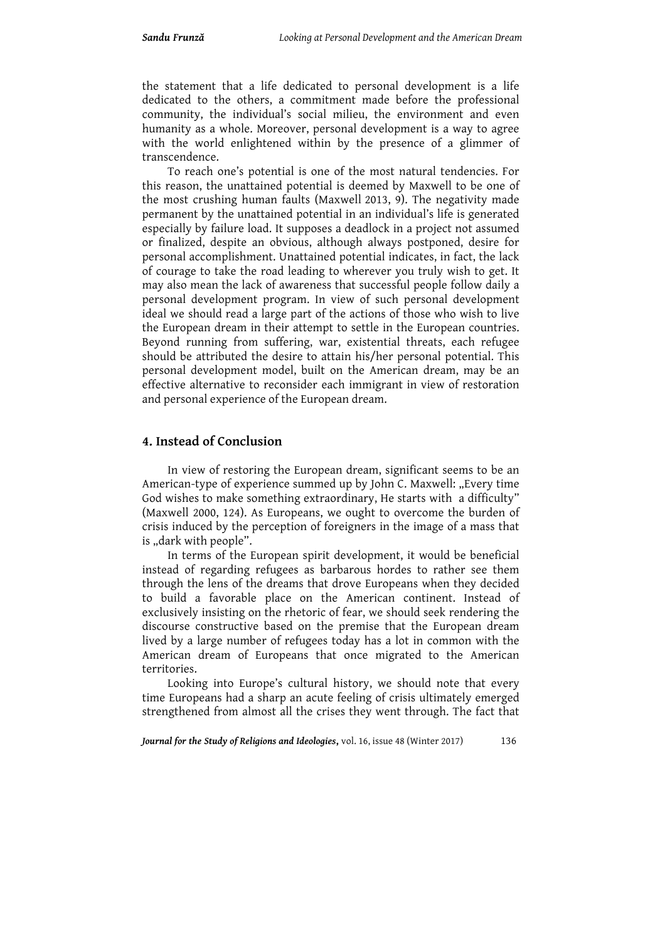the statement that a life dedicated to personal development is a life dedicated to the others, a commitment made before the professional community, the individual's social milieu, the environment and even humanity as a whole. Moreover, personal development is a way to agree with the world enlightened within by the presence of a glimmer of transcendence.

To reach one's potential is one of the most natural tendencies. For this reason, the unattained potential is deemed by Maxwell to be one of the most crushing human faults (Maxwell 2013, 9). The negativity made permanent by the unattained potential in an individual's life is generated especially by failure load. It supposes a deadlock in a project not assumed or finalized, despite an obvious, although always postponed, desire for personal accomplishment. Unattained potential indicates, in fact, the lack of courage to take the road leading to wherever you truly wish to get. It may also mean the lack of awareness that successful people follow daily a personal development program. In view of such personal development ideal we should read a large part of the actions of those who wish to live the European dream in their attempt to settle in the European countries. Beyond running from suffering, war, existential threats, each refugee should be attributed the desire to attain his/her personal potential. This personal development model, built on the American dream, may be an effective alternative to reconsider each immigrant in view of restoration and personal experience of the European dream.

### **4. Instead of Conclusion**

In view of restoring the European dream, significant seems to be an American-type of experience summed up by John C. Maxwell: "Every time God wishes to make something extraordinary, He starts with a difficulty" (Maxwell 2000, 124). As Europeans, we ought to overcome the burden of crisis induced by the perception of foreigners in the image of a mass that is "dark with people".

In terms of the European spirit development, it would be beneficial instead of regarding refugees as barbarous hordes to rather see them through the lens of the dreams that drove Europeans when they decided to build a favorable place on the American continent. Instead of exclusively insisting on the rhetoric of fear, we should seek rendering the discourse constructive based on the premise that the European dream lived by a large number of refugees today has a lot in common with the American dream of Europeans that once migrated to the American territories.

Looking into Europe's cultural history, we should note that every time Europeans had a sharp an acute feeling of crisis ultimately emerged strengthened from almost all the crises they went through. The fact that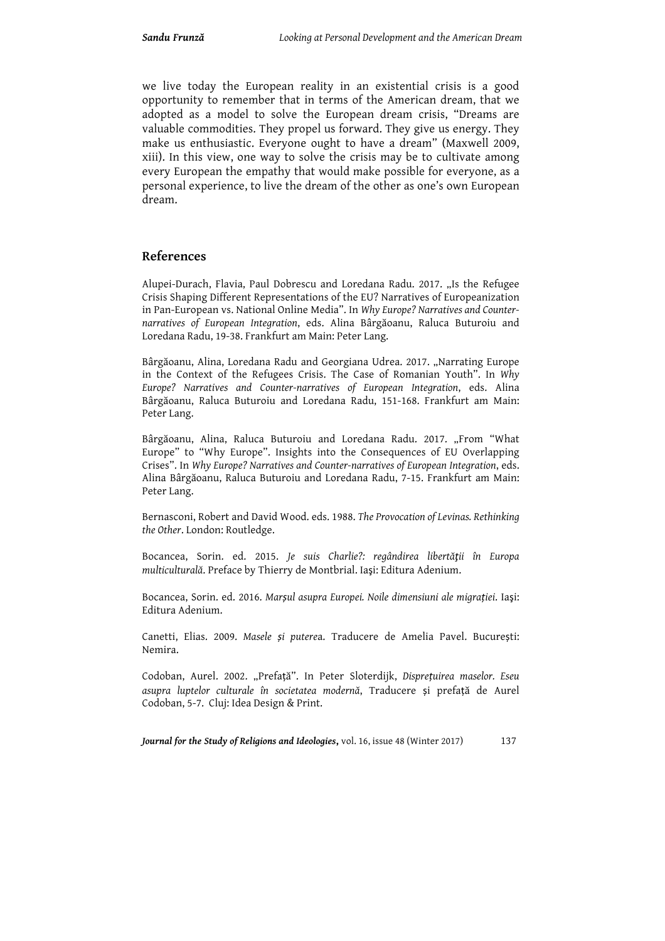we live today the European reality in an existential crisis is a good opportunity to remember that in terms of the American dream, that we adopted as a model to solve the European dream crisis, "Dreams are valuable commodities. They propel us forward. They give us energy. They make us enthusiastic. Everyone ought to have a dream" (Maxwell 2009, xiii). In this view, one way to solve the crisis may be to cultivate among every European the empathy that would make possible for everyone, as a personal experience, to live the dream of the other as one's own European dream.

### **References**

Alupei-Durach, Flavia, Paul Dobrescu and Loredana Radu. 2017. "Is the Refugee Crisis Shaping Different Representations of the EU? Narratives of Europeanization in Pan-European vs. National Online Media". In *Why Europe? Narratives and Counternarratives of European Integration*, eds. Alina Bârgăoanu, Raluca Buturoiu and Loredana Radu, 19-38. Frankfurt am Main: Peter Lang.

Bârgăoanu, Alina, Loredana Radu and Georgiana Udrea. 2017. "Narrating Europe in the Context of the Refugees Crisis. The Case of Romanian Youth". In *Why Europe? Narratives and Counter-narratives of European Integration*, eds. Alina Bârgăoanu, Raluca Buturoiu and Loredana Radu, 151-168. Frankfurt am Main: Peter Lang.

Bârgăoanu, Alina, Raluca Buturoiu and Loredana Radu. 2017. "From "What Europe" to "Why Europe". Insights into the Consequences of EU Overlapping Crises". In *Why Europe? Narratives and Counter-narratives of European Integration*, eds. Alina Bârgăoanu, Raluca Buturoiu and Loredana Radu, 7-15. Frankfurt am Main: Peter Lang.

Bernasconi, Robert and David Wood. eds. 1988. *The Provocation of Levinas. Rethinking the Other*. London: Routledge.

Bocancea, Sorin. ed. 2015. *Je suis Charlie?: regândirea libertăţii în Europa multiculturală*. Preface by Thierry de Montbrial. Iaşi: Editura Adenium.

Bocancea, Sorin. ed. 2016. *Marșul asupra Europei. Noile dimensiuni ale migrației*. Iaşi: Editura Adenium.

Canetti, Elias. 2009. *Masele și putere*a. Traducere de Amelia Pavel. București: Nemira.

Codoban, Aurel. 2002. "Prefață". In Peter Sloterdijk, *Disprețuirea maselor. Eseu asupra luptelor culturale în societatea modernă*, Traducere și prefață de Aurel Codoban, 5-7. Cluj: Idea Design & Print.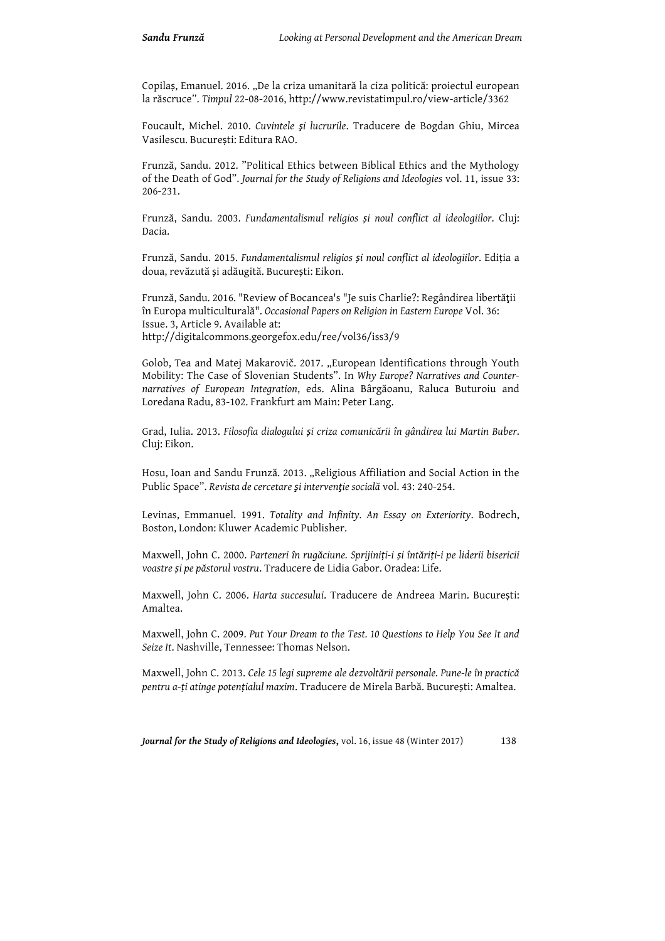Copilaș, Emanuel. 2016. "De la criza umanitară la ciza politică: proiectul european la răscruce". *Timpul* 22-08-2016, http://www.revistatimpul.ro/view-article/3362

Foucault, Michel. 2010. *Cuvintele şi lucrurile*. Traducere de Bogdan Ghiu, Mircea Vasilescu. București: Editura RAO.

Frunză, Sandu. 2012. "Political Ethics between Biblical Ethics and the Mythology of the Death of God". *Journal for the Study of Religions and Ideologies* vol. 11, issue 33: 206-231.

Frunză, Sandu. 2003. *Fundamentalismul religios și noul conflict al ideologiilor*. Cluj: Dacia.

Frunză, Sandu. 2015. *Fundamentalismul religios și noul conflict al ideologiilor*. Ediția a doua, revăzută și adăugită. București: Eikon.

Frunză, Sandu. 2016. "Review of Bocancea's "Je suis Charlie?: Regândirea libertăţii în Europa multiculturală". *Occasional Papers on Religion in Eastern Europe* Vol. 36: Issue. 3, Article 9. Available at: http://digitalcommons.georgefox.edu/ree/vol36/iss3/9

Golob, Tea and Matej Makarovič. 2017. "European Identifications through Youth Mobility: The Case of Slovenian Students". In *Why Europe? Narratives and Counternarratives of European Integration*, eds. Alina Bârgăoanu, Raluca Buturoiu and Loredana Radu, 83-102. Frankfurt am Main: Peter Lang.

Grad, Iulia. 2013. *Filosofia dialogului și criza comunicării în gândirea lui Martin Buber*. Cluj: Eikon.

Hosu, Ioan and Sandu Frunză. 2013. "Religious Affiliation and Social Action in the Public Space". *Revista de cercetare şi intervenţie socială* vol. 43: 240-254.

Levinas, Emmanuel. 1991. *Totality and Infinity. An Essay on Exteriority*. Bodrech, Boston, London: Kluwer Academic Publisher.

Maxwell, John C. 2000. *Parteneri în rugăciune. Sprijiniți-i și întăriți-i pe liderii bisericii voastre și pe păstorul vostru*. Traducere de Lidia Gabor. Oradea: Life.

Maxwell, John C. 2006. *Harta succesului*. Traducere de Andreea Marin. București: Amaltea.

Maxwell, John C. 2009. *Put Your Dream to the Test. 10 Questions to Help You See It and Seize It*. Nashville, Tennessee: Thomas Nelson.

Maxwell, John C. 2013. *Cele 15 legi supreme ale dezvoltării personale. Pune-le în practică pentru a-ți atinge potențialul maxim*. Traducere de Mirela Barbă. București: Amaltea.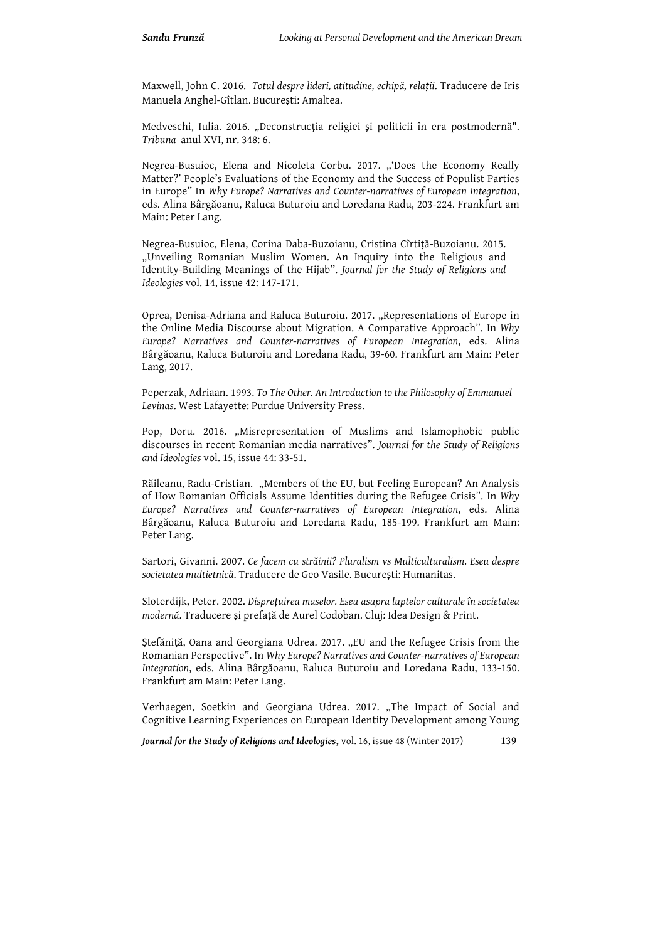Maxwell, John C. 2016. *Totul despre lideri, atitudine, echipă, relații*. Traducere de Iris Manuela Anghel-Gîtlan. București: Amaltea.

Medveschi, Iulia. 2016. "Deconstrucția religiei și politicii în era postmodernă". *Tribuna* anul XVI, nr. 348: 6.

Negrea-Busuioc, Elena and Nicoleta Corbu. 2017. "'Does the Economy Really Matter?' People's Evaluations of the Economy and the Success of Populist Parties in Europe" In *Why Europe? Narratives and Counter-narratives of European Integration*, eds. Alina Bârgăoanu, Raluca Buturoiu and Loredana Radu, 203-224. Frankfurt am Main: Peter Lang.

Negrea-Busuioc, Elena, Corina Daba-Buzoianu, Cristina Cîrtiță-Buzoianu. 2015. "Unveiling Romanian Muslim Women. An Inquiry into the Religious and Identity-Building Meanings of the Hijab". *Journal for the Study of Religions and Ideologies* vol. 14, issue 42: 147-171.

Oprea, Denisa-Adriana and Raluca Buturoiu. 2017. "Representations of Europe in the Online Media Discourse about Migration. A Comparative Approach". In *Why Europe? Narratives and Counter-narratives of European Integration*, eds. Alina Bârgăoanu, Raluca Buturoiu and Loredana Radu, 39-60. Frankfurt am Main: Peter Lang, 2017.

Peperzak, Adriaan. 1993. *To The Other. An Introduction to the Philosophy of Emmanuel Levinas*. West Lafayette: Purdue University Press.

Pop, Doru. 2016. "Misrepresentation of Muslims and Islamophobic public discourses in recent Romanian media narratives". *Journal for the Study of Religions and Ideologies* vol. 15, issue 44: 33-51.

Răileanu, Radu-Cristian. "Members of the EU, but Feeling European? An Analysis of How Romanian Officials Assume Identities during the Refugee Crisis". In *Why Europe? Narratives and Counter-narratives of European Integration*, eds. Alina Bârgăoanu, Raluca Buturoiu and Loredana Radu, 185-199. Frankfurt am Main: Peter Lang.

Sartori, Givanni. 2007. *Ce facem cu străinii? Pluralism vs Multiculturalism. Eseu despre societatea multietnică*. Traducere de Geo Vasile. București: Humanitas.

Sloterdijk, Peter. 2002. *Disprețuirea maselor. Eseu asupra luptelor culturale în societatea modernă*. Traducere și prefață de Aurel Codoban. Cluj: Idea Design & Print.

Ştefăniţă, Oana and Georgiana Udrea. 2017. "EU and the Refugee Crisis from the Romanian Perspective". In *Why Europe? Narratives and Counter-narratives of European Integration*, eds. Alina Bârgăoanu, Raluca Buturoiu and Loredana Radu, 133-150. Frankfurt am Main: Peter Lang.

Verhaegen, Soetkin and Georgiana Udrea. 2017. "The Impact of Social and Cognitive Learning Experiences on European Identity Development among Young